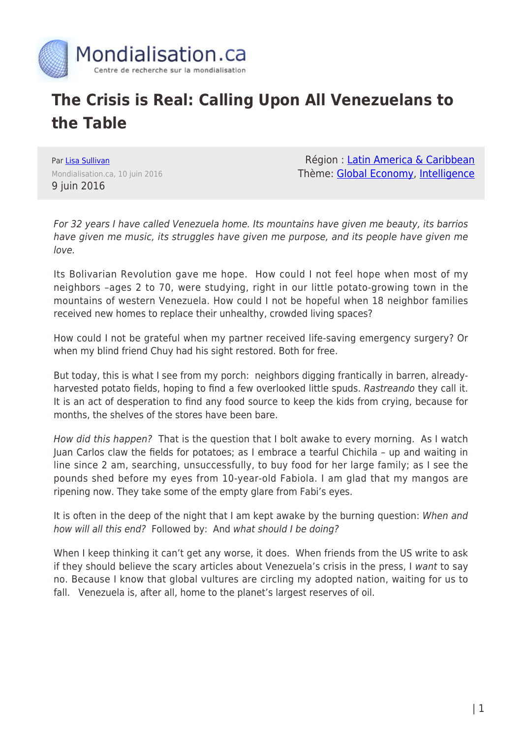

## **The Crisis is Real: Calling Upon All Venezuelans to the Table**

Par [Lisa Sullivan](https://www.mondialisation.ca/author/lisa-sullivan) Mondialisation.ca, 10 juin 2016 9 juin 2016

Région : [Latin America & Caribbean](https://www.mondialisation.ca/region/latin-america-caribbean) Thème: [Global Economy,](https://www.mondialisation.ca/theme/global-economy) [Intelligence](https://www.mondialisation.ca/theme/intelligence)

For 32 years I have called Venezuela home. Its mountains have given me beauty, its barrios have given me music, its struggles have given me purpose, and its people have given me love.

Its Bolivarian Revolution gave me hope. How could I not feel hope when most of my neighbors –ages 2 to 70, were studying, right in our little potato-growing town in the mountains of western Venezuela. How could I not be hopeful when 18 neighbor families received new homes to replace their unhealthy, crowded living spaces?

How could I not be grateful when my partner received life-saving emergency surgery? Or when my blind friend Chuy had his sight restored. Both for free.

But today, this is what I see from my porch: neighbors digging frantically in barren, alreadyharvested potato fields, hoping to find a few overlooked little spuds. Rastreando they call it. It is an act of desperation to find any food source to keep the kids from crying, because for months, the shelves of the stores have been bare.

How did this happen? That is the question that I bolt awake to every morning. As I watch Juan Carlos claw the fields for potatoes; as I embrace a tearful Chichila – up and waiting in line since 2 am, searching, unsuccessfully, to buy food for her large family; as I see the pounds shed before my eyes from 10-year-old Fabiola. I am glad that my mangos are ripening now. They take some of the empty glare from Fabi's eyes.

It is often in the deep of the night that I am kept awake by the burning question: When and how will all this end? Followed by: And what should I be doing?

When I keep thinking it can't get any worse, it does. When friends from the US write to ask if they should believe the scary articles about Venezuela's crisis in the press, I want to say no. Because I know that global vultures are circling my adopted nation, waiting for us to fall. Venezuela is, after all, home to the planet's largest reserves of oil.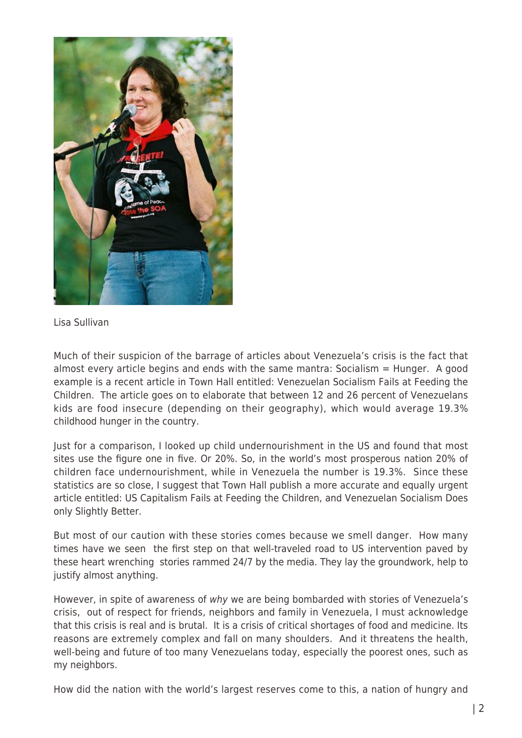

Lisa Sullivan

Much of their suspicion of the barrage of articles about Venezuela's crisis is the fact that almost every article begins and ends with the same mantra: Socialism  $=$  Hunger. A good example is a recent article in Town Hall entitled: Venezuelan Socialism Fails at Feeding the Children. The article goes on to elaborate that between 12 and 26 percent of Venezuelans kids are food insecure (depending on their geography), which would average 19.3% childhood hunger in the country.

Just for a comparison, I looked up child undernourishment in the US and found that most sites use the figure one in five. Or 20%. So, in the world's most prosperous nation 20% of children face undernourishment, while in Venezuela the number is 19.3%. Since these statistics are so close, I suggest that Town Hall publish a more accurate and equally urgent article entitled: US Capitalism Fails at Feeding the Children, and Venezuelan Socialism Does only Slightly Better.

But most of our caution with these stories comes because we smell danger. How many times have we seen the first step on that well-traveled road to US intervention paved by these heart wrenching stories rammed 24/7 by the media. They lay the groundwork, help to justify almost anything.

However, in spite of awareness of why we are being bombarded with stories of Venezuela's crisis, out of respect for friends, neighbors and family in Venezuela, I must acknowledge that this crisis is real and is brutal. It is a crisis of critical shortages of food and medicine. Its reasons are extremely complex and fall on many shoulders. And it threatens the health, well-being and future of too many Venezuelans today, especially the poorest ones, such as my neighbors.

How did the nation with the world's largest reserves come to this, a nation of hungry and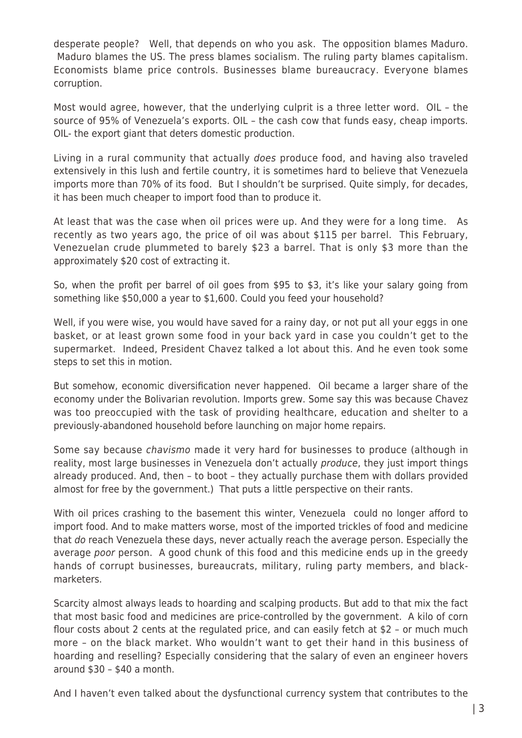desperate people? Well, that depends on who you ask. The opposition blames Maduro. Maduro blames the US. The press blames socialism. The ruling party blames capitalism. Economists blame price controls. Businesses blame bureaucracy. Everyone blames corruption.

Most would agree, however, that the underlying culprit is a three letter word. OIL – the source of 95% of Venezuela's exports. OIL – the cash cow that funds easy, cheap imports. OIL- the export giant that deters domestic production.

Living in a rural community that actually does produce food, and having also traveled extensively in this lush and fertile country, it is sometimes hard to believe that Venezuela imports more than 70% of its food. But I shouldn't be surprised. Quite simply, for decades, it has been much cheaper to import food than to produce it.

At least that was the case when oil prices were up. And they were for a long time. As recently as two years ago, the price of oil was about \$115 per barrel. This February, Venezuelan crude plummeted to barely \$23 a barrel. That is only \$3 more than the approximately \$20 cost of extracting it.

So, when the profit per barrel of oil goes from \$95 to \$3, it's like your salary going from something like \$50,000 a year to \$1,600. Could you feed your household?

Well, if you were wise, you would have saved for a rainy day, or not put all your eggs in one basket, or at least grown some food in your back yard in case you couldn't get to the supermarket. Indeed, President Chavez talked a lot about this. And he even took some steps to set this in motion.

But somehow, economic diversification never happened. Oil became a larger share of the economy under the Bolivarian revolution. Imports grew. Some say this was because Chavez was too preoccupied with the task of providing healthcare, education and shelter to a previously-abandoned household before launching on major home repairs.

Some say because chavismo made it very hard for businesses to produce (although in reality, most large businesses in Venezuela don't actually *produce*, they just import things already produced. And, then – to boot – they actually purchase them with dollars provided almost for free by the government.) That puts a little perspective on their rants.

With oil prices crashing to the basement this winter, Venezuela could no longer afford to import food. And to make matters worse, most of the imported trickles of food and medicine that do reach Venezuela these days, never actually reach the average person. Especially the average poor person. A good chunk of this food and this medicine ends up in the greedy hands of corrupt businesses, bureaucrats, military, ruling party members, and blackmarketers.

Scarcity almost always leads to hoarding and scalping products. But add to that mix the fact that most basic food and medicines are price-controlled by the government. A kilo of corn flour costs about 2 cents at the regulated price, and can easily fetch at \$2 – or much much more – on the black market. Who wouldn't want to get their hand in this business of hoarding and reselling? Especially considering that the salary of even an engineer hovers around \$30 – \$40 a month.

And I haven't even talked about the dysfunctional currency system that contributes to the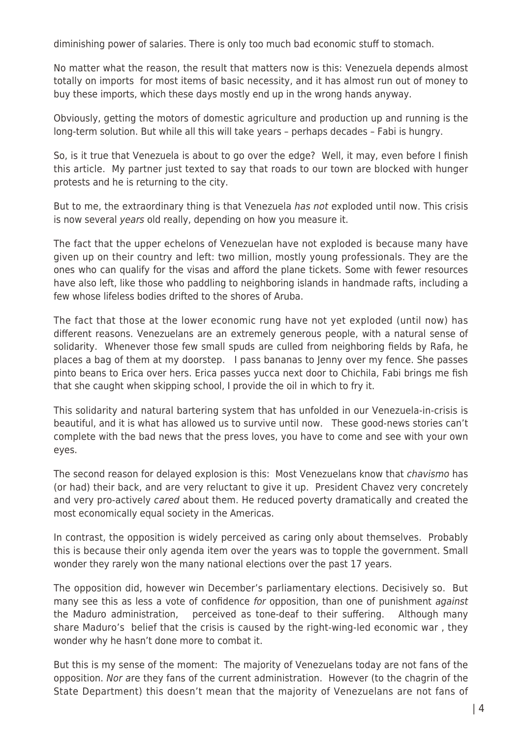diminishing power of salaries. There is only too much bad economic stuff to stomach.

No matter what the reason, the result that matters now is this: Venezuela depends almost totally on imports for most items of basic necessity, and it has almost run out of money to buy these imports, which these days mostly end up in the wrong hands anyway.

Obviously, getting the motors of domestic agriculture and production up and running is the long-term solution. But while all this will take years – perhaps decades – Fabi is hungry.

So, is it true that Venezuela is about to go over the edge? Well, it may, even before I finish this article. My partner just texted to say that roads to our town are blocked with hunger protests and he is returning to the city.

But to me, the extraordinary thing is that Venezuela has not exploded until now. This crisis is now several years old really, depending on how you measure it.

The fact that the upper echelons of Venezuelan have not exploded is because many have given up on their country and left: two million, mostly young professionals. They are the ones who can qualify for the visas and afford the plane tickets. Some with fewer resources have also left, like those who paddling to neighboring islands in handmade rafts, including a few whose lifeless bodies drifted to the shores of Aruba.

The fact that those at the lower economic rung have not yet exploded (until now) has different reasons. Venezuelans are an extremely generous people, with a natural sense of solidarity. Whenever those few small spuds are culled from neighboring fields by Rafa, he places a bag of them at my doorstep. I pass bananas to Jenny over my fence. She passes pinto beans to Erica over hers. Erica passes yucca next door to Chichila, Fabi brings me fish that she caught when skipping school, I provide the oil in which to fry it.

This solidarity and natural bartering system that has unfolded in our Venezuela-in-crisis is beautiful, and it is what has allowed us to survive until now. These good-news stories can't complete with the bad news that the press loves, you have to come and see with your own eyes.

The second reason for delayed explosion is this: Most Venezuelans know that *chavismo* has (or had) their back, and are very reluctant to give it up. President Chavez very concretely and very pro-actively cared about them. He reduced poverty dramatically and created the most economically equal society in the Americas.

In contrast, the opposition is widely perceived as caring only about themselves. Probably this is because their only agenda item over the years was to topple the government. Small wonder they rarely won the many national elections over the past 17 years.

The opposition did, however win December's parliamentary elections. Decisively so. But many see this as less a vote of confidence for opposition, than one of punishment *against* the Maduro administration, perceived as tone-deaf to their suffering. Although many share Maduro's belief that the crisis is caused by the right-wing-led economic war , they wonder why he hasn't done more to combat it.

But this is my sense of the moment: The majority of Venezuelans today are not fans of the opposition. Nor are they fans of the current administration. However (to the chagrin of the State Department) this doesn't mean that the majority of Venezuelans are not fans of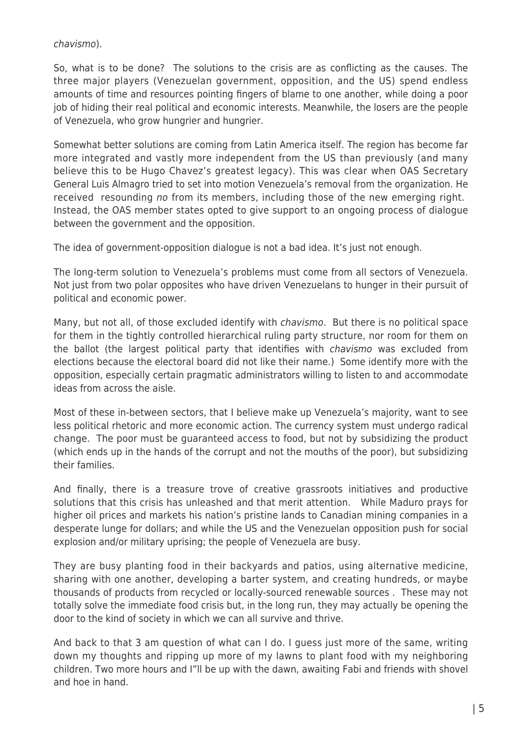## chavismo).

So, what is to be done? The solutions to the crisis are as conflicting as the causes. The three major players (Venezuelan government, opposition, and the US) spend endless amounts of time and resources pointing fingers of blame to one another, while doing a poor job of hiding their real political and economic interests. Meanwhile, the losers are the people of Venezuela, who grow hungrier and hungrier.

Somewhat better solutions are coming from Latin America itself. The region has become far more integrated and vastly more independent from the US than previously (and many believe this to be Hugo Chavez's greatest legacy). This was clear when OAS Secretary General Luis Almagro tried to set into motion Venezuela's removal from the organization. He received resounding no from its members, including those of the new emerging right. Instead, the OAS member states opted to give support to an ongoing process of dialogue between the government and the opposition.

The idea of government-opposition dialogue is not a bad idea. It's just not enough.

The long-term solution to Venezuela's problems must come from all sectors of Venezuela. Not just from two polar opposites who have driven Venezuelans to hunger in their pursuit of political and economic power.

Many, but not all, of those excluded identify with chavismo. But there is no political space for them in the tightly controlled hierarchical ruling party structure, nor room for them on the ballot (the largest political party that identifies with chavismo was excluded from elections because the electoral board did not like their name.) Some identify more with the opposition, especially certain pragmatic administrators willing to listen to and accommodate ideas from across the aisle.

Most of these in-between sectors, that I believe make up Venezuela's majority, want to see less political rhetoric and more economic action. The currency system must undergo radical change. The poor must be guaranteed access to food, but not by subsidizing the product (which ends up in the hands of the corrupt and not the mouths of the poor), but subsidizing their families.

And finally, there is a treasure trove of creative grassroots initiatives and productive solutions that this crisis has unleashed and that merit attention. While Maduro prays for higher oil prices and markets his nation's pristine lands to Canadian mining companies in a desperate lunge for dollars; and while the US and the Venezuelan opposition push for social explosion and/or military uprising; the people of Venezuela are busy.

They are busy planting food in their backyards and patios, using alternative medicine, sharing with one another, developing a barter system, and creating hundreds, or maybe thousands of products from recycled or locally-sourced renewable sources . These may not totally solve the immediate food crisis but, in the long run, they may actually be opening the door to the kind of society in which we can all survive and thrive.

And back to that 3 am question of what can I do. I guess just more of the same, writing down my thoughts and ripping up more of my lawns to plant food with my neighboring children. Two more hours and I"ll be up with the dawn, awaiting Fabi and friends with shovel and hoe in hand.